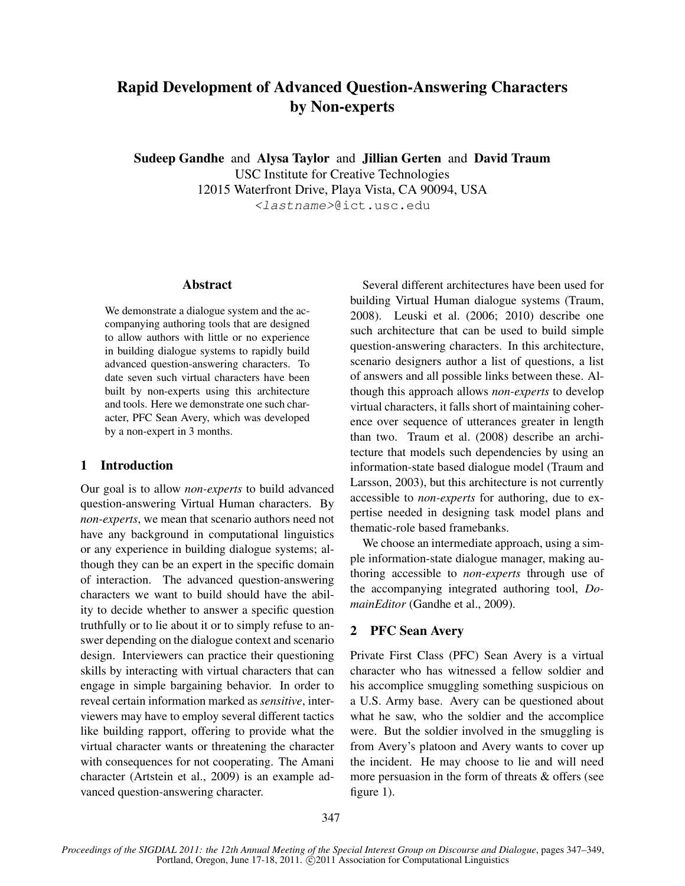# Rapid Development of Advanced Question-Answering Characters by Non-experts

Sudeep Gandhe and Alysa Taylor and Jillian Gerten and David Traum USC Institute for Creative Technologies 12015 Waterfront Drive, Playa Vista, CA 90094, USA <lastname>@ict.usc.edu

#### Abstract

We demonstrate a dialogue system and the accompanying authoring tools that are designed to allow authors with little or no experience in building dialogue systems to rapidly build advanced question-answering characters. To date seven such virtual characters have been built by non-experts using this architecture and tools. Here we demonstrate one such character, PFC Sean Avery, which was developed by a non-expert in 3 months.

### 1 Introduction

Our goal is to allow *non-experts* to build advanced question-answering Virtual Human characters. By *non-experts*, we mean that scenario authors need not have any background in computational linguistics or any experience in building dialogue systems; although they can be an expert in the specific domain of interaction. The advanced question-answering characters we want to build should have the ability to decide whether to answer a specific question truthfully or to lie about it or to simply refuse to answer depending on the dialogue context and scenario design. Interviewers can practice their questioning skills by interacting with virtual characters that can engage in simple bargaining behavior. In order to reveal certain information marked as *sensitive*, interviewers may have to employ several different tactics like building rapport, offering to provide what the virtual character wants or threatening the character with consequences for not cooperating. The Amani character (Artstein et al., 2009) is an example advanced question-answering character.

Several different architectures have been used for building Virtual Human dialogue systems (Traum, 2008). Leuski et al. (2006; 2010) describe one such architecture that can be used to build simple question-answering characters. In this architecture, scenario designers author a list of questions, a list of answers and all possible links between these. Although this approach allows *non-experts* to develop virtual characters, it falls short of maintaining coherence over sequence of utterances greater in length than two. Traum et al. (2008) describe an architecture that models such dependencies by using an information-state based dialogue model (Traum and Larsson, 2003), but this architecture is not currently accessible to *non-experts* for authoring, due to expertise needed in designing task model plans and thematic-role based framebanks.

We choose an intermediate approach, using a simple information-state dialogue manager, making authoring accessible to *non-experts* through use of the accompanying integrated authoring tool, *DomainEditor* (Gandhe et al., 2009).

## 2 PFC Sean Avery

Private First Class (PFC) Sean Avery is a virtual character who has witnessed a fellow soldier and his accomplice smuggling something suspicious on a U.S. Army base. Avery can be questioned about what he saw, who the soldier and the accomplice were. But the soldier involved in the smuggling is from Avery's platoon and Avery wants to cover up the incident. He may choose to lie and will need more persuasion in the form of threats & offers (see figure 1).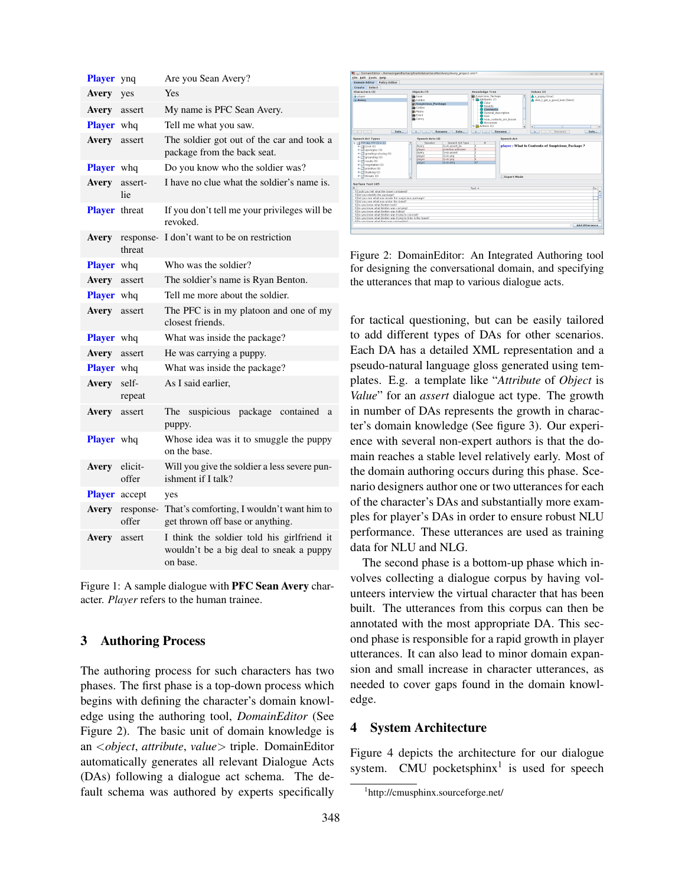| <b>Player</b>        | ynq                 | Are you Sean Avery?                                                                               |
|----------------------|---------------------|---------------------------------------------------------------------------------------------------|
| Avery                | yes                 | Yes                                                                                               |
| Avery                | assert              | My name is PFC Sean Avery.                                                                        |
| <b>Player</b> whq    |                     | Tell me what you saw.                                                                             |
| Avery                | assert              | The soldier got out of the car and took a<br>package from the back seat.                          |
| <b>Player</b> whq    |                     | Do you know who the soldier was?                                                                  |
| Avery                | assert-<br>lie      | I have no clue what the soldier's name is.                                                        |
| <b>Player</b> threat |                     | If you don't tell me your privileges will be<br>revoked.                                          |
| Avery                | response-<br>threat | I don't want to be on restriction                                                                 |
| <b>Player</b> whq    |                     | Who was the soldier?                                                                              |
| Avery                | assert              | The soldier's name is Ryan Benton.                                                                |
| <b>Player</b> whq    |                     | Tell me more about the soldier.                                                                   |
| Avery                | assert              | The PFC is in my platoon and one of my<br>closest friends.                                        |
| <b>Player</b>        | whq                 | What was inside the package?                                                                      |
| Avery                | assert              | He was carrying a puppy.                                                                          |
| <b>Player</b> whq    |                     | What was inside the package?                                                                      |
| Avery                | self-<br>repeat     | As I said earlier,                                                                                |
| Avery                | assert              | suspicious package contained<br>The<br>a<br>puppy.                                                |
| <b>Player</b> whq    |                     | Whose idea was it to smuggle the puppy<br>on the base.                                            |
| Avery                | elicit-<br>offer    | Will you give the soldier a less severe pun-<br>ishment if I talk?                                |
| <b>Player</b> accept |                     | yes                                                                                               |
| Avery                | response-<br>offer  | That's comforting, I wouldn't want him to<br>get thrown off base or anything.                     |
| Avery                | assert              | I think the soldier told his girlfriend it<br>wouldn't be a big deal to sneak a puppy<br>on base. |

Figure 1: A sample dialogue with PFC Sean Avery character. *Player* refers to the human trainee.

### 3 Authoring Process

The authoring process for such characters has two phases. The first phase is a top-down process which begins with defining the character's domain knowledge using the authoring tool, *DomainEditor* (See Figure 2). The basic unit of domain knowledge is an <*object*, *attribute*, *value*> triple. DomainEditor automatically generates all relevant Dialogue Acts (DAs) following a dialogue act schema. The default schema was authored by experts specifically



Figure 2: DomainEditor: An Integrated Authoring tool for designing the conversational domain, and specifying the utterances that map to various dialogue acts.

for tactical questioning, but can be easily tailored to add different types of DAs for other scenarios. Each DA has a detailed XML representation and a pseudo-natural language gloss generated using templates. E.g. a template like "*Attribute* of *Object* is *Value*" for an *assert* dialogue act type. The growth in number of DAs represents the growth in character's domain knowledge (See figure 3). Our experience with several non-expert authors is that the domain reaches a stable level relatively early. Most of the domain authoring occurs during this phase. Scenario designers author one or two utterances for each of the character's DAs and substantially more examples for player's DAs in order to ensure robust NLU performance. These utterances are used as training data for NLU and NLG.

The second phase is a bottom-up phase which involves collecting a dialogue corpus by having volunteers interview the virtual character that has been built. The utterances from this corpus can then be annotated with the most appropriate DA. This second phase is responsible for a rapid growth in player utterances. It can also lead to minor domain expansion and small increase in character utterances, as needed to cover gaps found in the domain knowledge.

## 4 System Architecture

Figure 4 depicts the architecture for our dialogue system. CMU pocketsphinx<sup>1</sup> is used for speech

<sup>1</sup> http://cmusphinx.sourceforge.net/